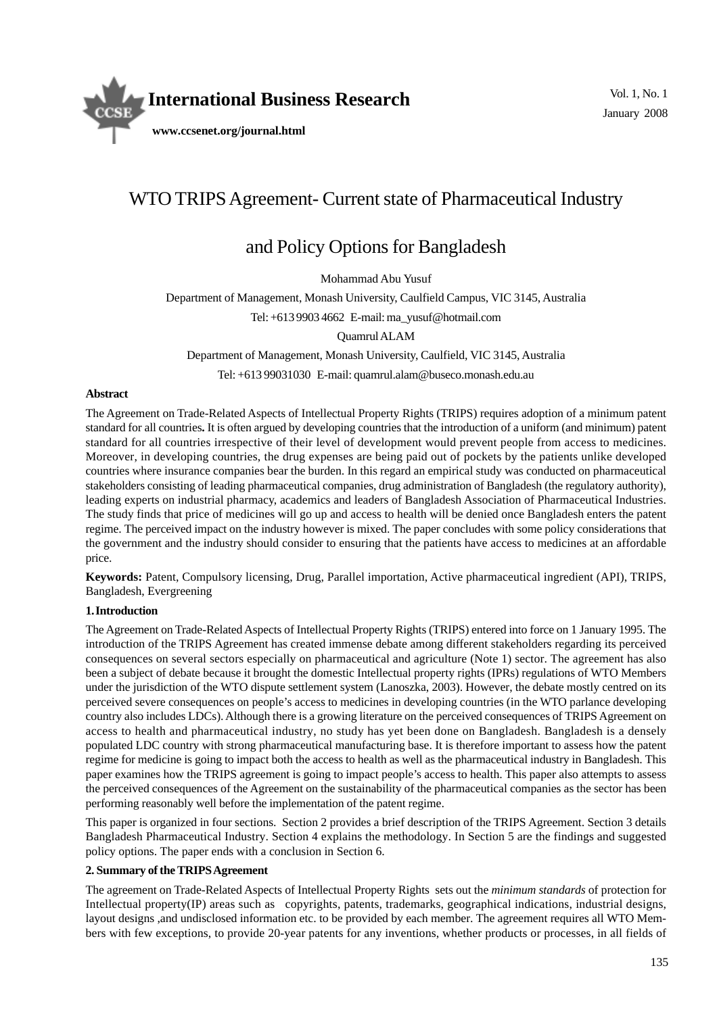

# WTO TRIPS Agreement- Current state of Pharmaceutical Industry

# and Policy Options for Bangladesh

Mohammad Abu Yusuf

Department of Management, Monash University, Caulfield Campus, VIC 3145, Australia

Tel: +613 9903 4662 E-mail: ma\_yusuf@hotmail.com

Quamrul ALAM

Department of Management, Monash University, Caulfield, VIC 3145, Australia

Tel: +613 99031030 E-mail: quamrul.alam@buseco.monash.edu.au

# **Abstract**

The Agreement on Trade-Related Aspects of Intellectual Property Rights (TRIPS) requires adoption of a minimum patent standard for all countries**.** It is often argued by developing countries that the introduction of a uniform (and minimum) patent standard for all countries irrespective of their level of development would prevent people from access to medicines. Moreover, in developing countries, the drug expenses are being paid out of pockets by the patients unlike developed countries where insurance companies bear the burden. In this regard an empirical study was conducted on pharmaceutical stakeholders consisting of leading pharmaceutical companies, drug administration of Bangladesh (the regulatory authority), leading experts on industrial pharmacy, academics and leaders of Bangladesh Association of Pharmaceutical Industries. The study finds that price of medicines will go up and access to health will be denied once Bangladesh enters the patent regime. The perceived impact on the industry however is mixed. The paper concludes with some policy considerations that the government and the industry should consider to ensuring that the patients have access to medicines at an affordable price.

**Keywords:** Patent, Compulsory licensing, Drug, Parallel importation, Active pharmaceutical ingredient (API), TRIPS, Bangladesh, Evergreening

# **1. Introduction**

The Agreement on Trade-Related Aspects of Intellectual Property Rights (TRIPS) entered into force on 1 January 1995. The introduction of the TRIPS Agreement has created immense debate among different stakeholders regarding its perceived consequences on several sectors especially on pharmaceutical and agriculture (Note 1) sector. The agreement has also been a subject of debate because it brought the domestic Intellectual property rights (IPRs) regulations of WTO Members under the jurisdiction of the WTO dispute settlement system (Lanoszka, 2003). However, the debate mostly centred on its perceived severe consequences on people's access to medicines in developing countries (in the WTO parlance developing country also includes LDCs). Although there is a growing literature on the perceived consequences of TRIPS Agreement on access to health and pharmaceutical industry, no study has yet been done on Bangladesh. Bangladesh is a densely populated LDC country with strong pharmaceutical manufacturing base. It is therefore important to assess how the patent regime for medicine is going to impact both the access to health as well as the pharmaceutical industry in Bangladesh. This paper examines how the TRIPS agreement is going to impact people's access to health. This paper also attempts to assess the perceived consequences of the Agreement on the sustainability of the pharmaceutical companies as the sector has been performing reasonably well before the implementation of the patent regime.

This paper is organized in four sections. Section 2 provides a brief description of the TRIPS Agreement. Section 3 details Bangladesh Pharmaceutical Industry. Section 4 explains the methodology. In Section 5 are the findings and suggested policy options. The paper ends with a conclusion in Section 6.

# **2. Summary of the TRIPS Agreement**

The agreement on Trade-Related Aspects of Intellectual Property Rights sets out the *minimum standards* of protection for Intellectual property(IP) areas such as copyrights, patents, trademarks, geographical indications, industrial designs, layout designs ,and undisclosed information etc. to be provided by each member. The agreement requires all WTO Members with few exceptions, to provide 20-year patents for any inventions, whether products or processes, in all fields of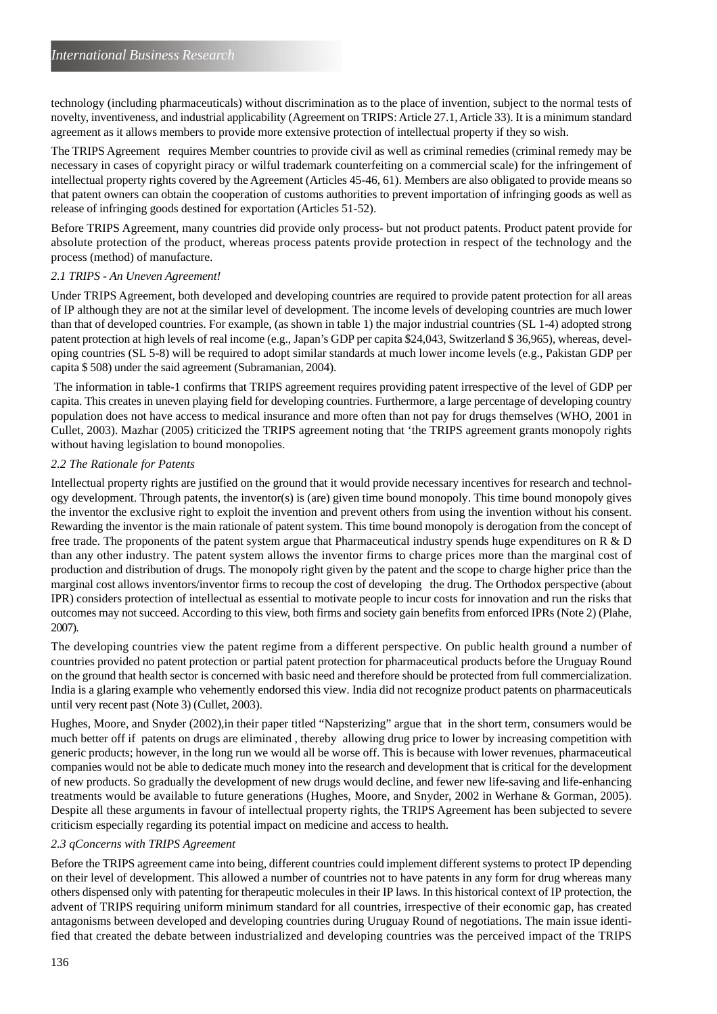technology (including pharmaceuticals) without discrimination as to the place of invention, subject to the normal tests of novelty, inventiveness, and industrial applicability (Agreement on TRIPS: Article 27.1, Article 33). It is a minimum standard agreement as it allows members to provide more extensive protection of intellectual property if they so wish.

The TRIPS Agreement requires Member countries to provide civil as well as criminal remedies (criminal remedy may be necessary in cases of copyright piracy or wilful trademark counterfeiting on a commercial scale) for the infringement of intellectual property rights covered by the Agreement (Articles 45-46, 61). Members are also obligated to provide means so that patent owners can obtain the cooperation of customs authorities to prevent importation of infringing goods as well as release of infringing goods destined for exportation (Articles 51-52).

Before TRIPS Agreement, many countries did provide only process- but not product patents. Product patent provide for absolute protection of the product, whereas process patents provide protection in respect of the technology and the process (method) of manufacture.

#### *2.1 TRIPS - An Uneven Agreement!*

Under TRIPS Agreement, both developed and developing countries are required to provide patent protection for all areas of IP although they are not at the similar level of development. The income levels of developing countries are much lower than that of developed countries. For example, (as shown in table 1) the major industrial countries (SL 1-4) adopted strong patent protection at high levels of real income (e.g., Japan's GDP per capita \$24,043, Switzerland \$ 36,965), whereas, developing countries (SL 5-8) will be required to adopt similar standards at much lower income levels (e.g., Pakistan GDP per capita \$ 508) under the said agreement (Subramanian, 2004).

 The information in table-1 confirms that TRIPS agreement requires providing patent irrespective of the level of GDP per capita. This creates in uneven playing field for developing countries. Furthermore, a large percentage of developing country population does not have access to medical insurance and more often than not pay for drugs themselves (WHO, 2001 in Cullet, 2003). Mazhar (2005) criticized the TRIPS agreement noting that 'the TRIPS agreement grants monopoly rights without having legislation to bound monopolies.

#### *2.2 The Rationale for Patents*

Intellectual property rights are justified on the ground that it would provide necessary incentives for research and technology development. Through patents, the inventor(s) is (are) given time bound monopoly. This time bound monopoly gives the inventor the exclusive right to exploit the invention and prevent others from using the invention without his consent. Rewarding the inventor is the main rationale of patent system. This time bound monopoly is derogation from the concept of free trade. The proponents of the patent system argue that Pharmaceutical industry spends huge expenditures on R & D than any other industry. The patent system allows the inventor firms to charge prices more than the marginal cost of production and distribution of drugs. The monopoly right given by the patent and the scope to charge higher price than the marginal cost allows inventors/inventor firms to recoup the cost of developing the drug. The Orthodox perspective (about IPR) considers protection of intellectual as essential to motivate people to incur costs for innovation and run the risks that outcomes may not succeed. According to this view, both firms and society gain benefits from enforced IPRs (Note 2) (Plahe, 2007).

The developing countries view the patent regime from a different perspective. On public health ground a number of countries provided no patent protection or partial patent protection for pharmaceutical products before the Uruguay Round on the ground that health sector is concerned with basic need and therefore should be protected from full commercialization. India is a glaring example who vehemently endorsed this view. India did not recognize product patents on pharmaceuticals until very recent past (Note 3) (Cullet, 2003).

Hughes, Moore, and Snyder (2002),in their paper titled "Napsterizing" argue that in the short term, consumers would be much better off if patents on drugs are eliminated , thereby allowing drug price to lower by increasing competition with generic products; however, in the long run we would all be worse off. This is because with lower revenues, pharmaceutical companies would not be able to dedicate much money into the research and development that is critical for the development of new products. So gradually the development of new drugs would decline, and fewer new life-saving and life-enhancing treatments would be available to future generations (Hughes, Moore, and Snyder, 2002 in Werhane & Gorman, 2005). Despite all these arguments in favour of intellectual property rights, the TRIPS Agreement has been subjected to severe criticism especially regarding its potential impact on medicine and access to health.

# *2.3 qConcerns with TRIPS Agreement*

Before the TRIPS agreement came into being, different countries could implement different systems to protect IP depending on their level of development. This allowed a number of countries not to have patents in any form for drug whereas many others dispensed only with patenting for therapeutic molecules in their IP laws. In this historical context of IP protection, the advent of TRIPS requiring uniform minimum standard for all countries, irrespective of their economic gap, has created antagonisms between developed and developing countries during Uruguay Round of negotiations. The main issue identified that created the debate between industrialized and developing countries was the perceived impact of the TRIPS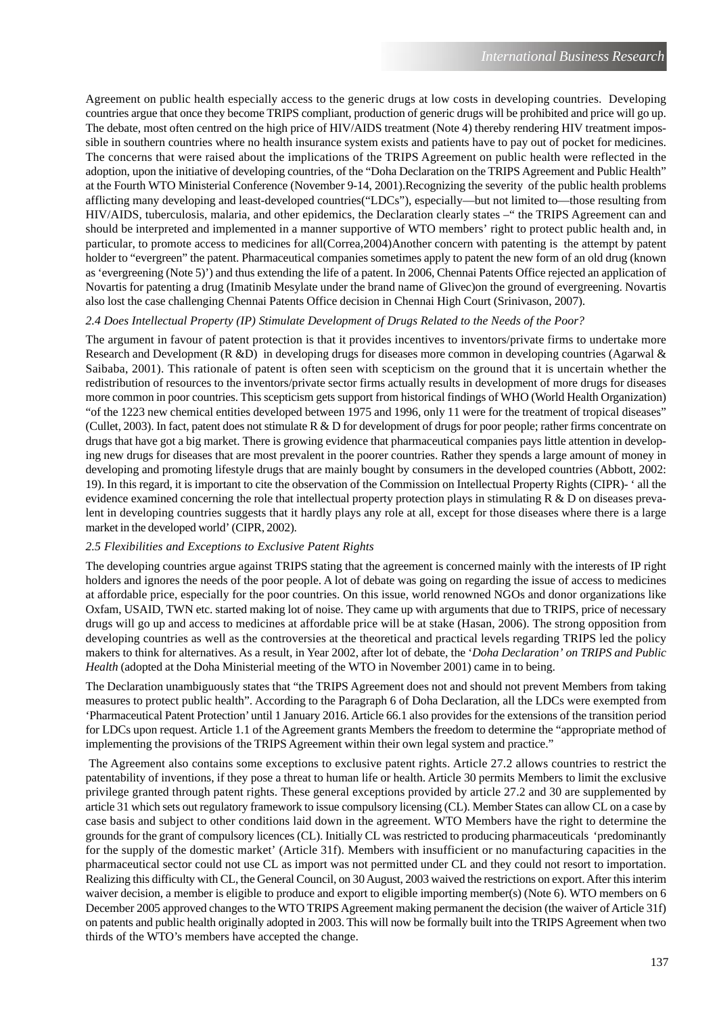Agreement on public health especially access to the generic drugs at low costs in developing countries. Developing countries argue that once they become TRIPS compliant, production of generic drugs will be prohibited and price will go up. The debate, most often centred on the high price of HIV/AIDS treatment (Note 4) thereby rendering HIV treatment impossible in southern countries where no health insurance system exists and patients have to pay out of pocket for medicines. The concerns that were raised about the implications of the TRIPS Agreement on public health were reflected in the adoption, upon the initiative of developing countries, of the "Doha Declaration on the TRIPS Agreement and Public Health" at the Fourth WTO Ministerial Conference (November 9-14, 2001).Recognizing the severity of the public health problems afflicting many developing and least-developed countries("LDCs"), especially—but not limited to—those resulting from HIV/AIDS, tuberculosis, malaria, and other epidemics, the Declaration clearly states –" the TRIPS Agreement can and should be interpreted and implemented in a manner supportive of WTO members' right to protect public health and, in particular, to promote access to medicines for all(Correa,2004)Another concern with patenting is the attempt by patent holder to "evergreen" the patent. Pharmaceutical companies sometimes apply to patent the new form of an old drug (known as 'evergreening (Note 5)') and thus extending the life of a patent. In 2006, Chennai Patents Office rejected an application of Novartis for patenting a drug (Imatinib Mesylate under the brand name of Glivec)on the ground of evergreening. Novartis also lost the case challenging Chennai Patents Office decision in Chennai High Court (Srinivason, 2007).

# *2.4 Does Intellectual Property (IP) Stimulate Development of Drugs Related to the Needs of the Poor?*

The argument in favour of patent protection is that it provides incentives to inventors/private firms to undertake more Research and Development (R &D) in developing drugs for diseases more common in developing countries (Agarwal & Saibaba, 2001). This rationale of patent is often seen with scepticism on the ground that it is uncertain whether the redistribution of resources to the inventors/private sector firms actually results in development of more drugs for diseases more common in poor countries. This scepticism gets support from historical findings of WHO (World Health Organization) "of the 1223 new chemical entities developed between 1975 and 1996, only 11 were for the treatment of tropical diseases" (Cullet, 2003). In fact, patent does not stimulate R & D for development of drugs for poor people; rather firms concentrate on drugs that have got a big market. There is growing evidence that pharmaceutical companies pays little attention in developing new drugs for diseases that are most prevalent in the poorer countries. Rather they spends a large amount of money in developing and promoting lifestyle drugs that are mainly bought by consumers in the developed countries (Abbott, 2002: 19). In this regard, it is important to cite the observation of the Commission on Intellectual Property Rights (CIPR)- ' all the evidence examined concerning the role that intellectual property protection plays in stimulating R & D on diseases prevalent in developing countries suggests that it hardly plays any role at all, except for those diseases where there is a large market in the developed world' (CIPR, 2002).

# *2.5 Flexibilities and Exceptions to Exclusive Patent Rights*

The developing countries argue against TRIPS stating that the agreement is concerned mainly with the interests of IP right holders and ignores the needs of the poor people. A lot of debate was going on regarding the issue of access to medicines at affordable price, especially for the poor countries. On this issue, world renowned NGOs and donor organizations like Oxfam, USAID, TWN etc. started making lot of noise. They came up with arguments that due to TRIPS, price of necessary drugs will go up and access to medicines at affordable price will be at stake (Hasan, 2006). The strong opposition from developing countries as well as the controversies at the theoretical and practical levels regarding TRIPS led the policy makers to think for alternatives. As a result, in Year 2002, after lot of debate, the '*Doha Declaration' on TRIPS and Public Health* (adopted at the Doha Ministerial meeting of the WTO in November 2001) came in to being.

The Declaration unambiguously states that "the TRIPS Agreement does not and should not prevent Members from taking measures to protect public health". According to the Paragraph 6 of Doha Declaration, all the LDCs were exempted from 'Pharmaceutical Patent Protection' until 1 January 2016. Article 66.1 also provides for the extensions of the transition period for LDCs upon request. Article 1.1 of the Agreement grants Members the freedom to determine the "appropriate method of implementing the provisions of the TRIPS Agreement within their own legal system and practice."

The Agreement also contains some exceptions to exclusive patent rights. Article 27.2 allows countries to restrict the patentability of inventions, if they pose a threat to human life or health. Article 30 permits Members to limit the exclusive privilege granted through patent rights. These general exceptions provided by article 27.2 and 30 are supplemented by article 31 which sets out regulatory framework to issue compulsory licensing (CL). Member States can allow CL on a case by case basis and subject to other conditions laid down in the agreement. WTO Members have the right to determine the grounds for the grant of compulsory licences (CL). Initially CL was restricted to producing pharmaceuticals 'predominantly for the supply of the domestic market' (Article 31f). Members with insufficient or no manufacturing capacities in the pharmaceutical sector could not use CL as import was not permitted under CL and they could not resort to importation. Realizing this difficulty with CL, the General Council, on 30 August, 2003 waived the restrictions on export. After this interim waiver decision, a member is eligible to produce and export to eligible importing member(s) (Note 6). WTO members on 6 December 2005 approved changes to the WTO TRIPS Agreement making permanent the decision (the waiver of Article 31f) on patents and public health originally adopted in 2003. This will now be formally built into the TRIPS Agreement when two thirds of the WTO's members have accepted the change.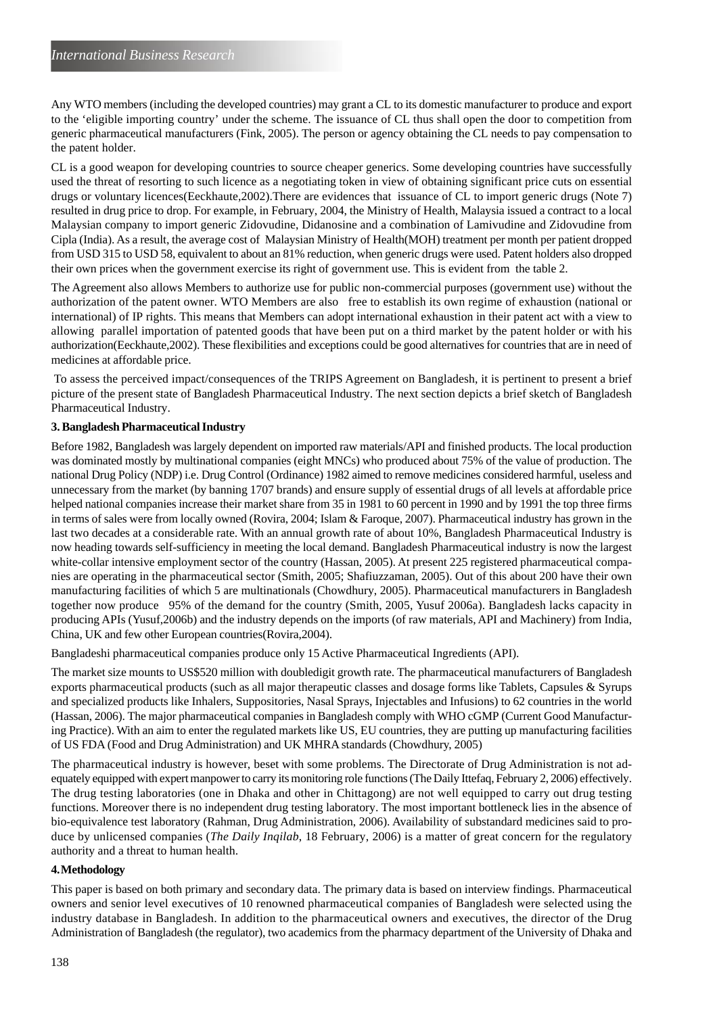Any WTO members (including the developed countries) may grant a CL to its domestic manufacturer to produce and export to the 'eligible importing country' under the scheme. The issuance of CL thus shall open the door to competition from generic pharmaceutical manufacturers (Fink, 2005). The person or agency obtaining the CL needs to pay compensation to the patent holder.

CL is a good weapon for developing countries to source cheaper generics. Some developing countries have successfully used the threat of resorting to such licence as a negotiating token in view of obtaining significant price cuts on essential drugs or voluntary licences(Eeckhaute,2002).There are evidences that issuance of CL to import generic drugs (Note 7) resulted in drug price to drop. For example, in February, 2004, the Ministry of Health, Malaysia issued a contract to a local Malaysian company to import generic Zidovudine, Didanosine and a combination of Lamivudine and Zidovudine from Cipla (India). As a result, the average cost of Malaysian Ministry of Health(MOH) treatment per month per patient dropped from USD 315 to USD 58, equivalent to about an 81% reduction, when generic drugs were used. Patent holders also dropped their own prices when the government exercise its right of government use. This is evident from the table 2.

The Agreement also allows Members to authorize use for public non-commercial purposes (government use) without the authorization of the patent owner. WTO Members are also free to establish its own regime of exhaustion (national or international) of IP rights. This means that Members can adopt international exhaustion in their patent act with a view to allowing parallel importation of patented goods that have been put on a third market by the patent holder or with his authorization(Eeckhaute,2002). These flexibilities and exceptions could be good alternatives for countries that are in need of medicines at affordable price.

 To assess the perceived impact/consequences of the TRIPS Agreement on Bangladesh, it is pertinent to present a brief picture of the present state of Bangladesh Pharmaceutical Industry. The next section depicts a brief sketch of Bangladesh Pharmaceutical Industry.

# **3. Bangladesh Pharmaceutical Industry**

Before 1982, Bangladesh was largely dependent on imported raw materials/API and finished products. The local production was dominated mostly by multinational companies (eight MNCs) who produced about 75% of the value of production. The national Drug Policy (NDP) i.e. Drug Control (Ordinance) 1982 aimed to remove medicines considered harmful, useless and unnecessary from the market (by banning 1707 brands) and ensure supply of essential drugs of all levels at affordable price helped national companies increase their market share from 35 in 1981 to 60 percent in 1990 and by 1991 the top three firms in terms of sales were from locally owned (Rovira, 2004; Islam & Faroque, 2007). Pharmaceutical industry has grown in the last two decades at a considerable rate. With an annual growth rate of about 10%, Bangladesh Pharmaceutical Industry is now heading towards self-sufficiency in meeting the local demand. Bangladesh Pharmaceutical industry is now the largest white-collar intensive employment sector of the country (Hassan, 2005). At present 225 registered pharmaceutical companies are operating in the pharmaceutical sector (Smith, 2005; Shafiuzzaman, 2005). Out of this about 200 have their own manufacturing facilities of which 5 are multinationals (Chowdhury, 2005). Pharmaceutical manufacturers in Bangladesh together now produce 95% of the demand for the country (Smith, 2005, Yusuf 2006a). Bangladesh lacks capacity in producing APIs (Yusuf,2006b) and the industry depends on the imports (of raw materials, API and Machinery) from India, China, UK and few other European countries(Rovira,2004).

Bangladeshi pharmaceutical companies produce only 15 Active Pharmaceutical Ingredients (API).

The market size mounts to US\$520 million with doubledigit growth rate. The pharmaceutical manufacturers of Bangladesh exports pharmaceutical products (such as all major therapeutic classes and dosage forms like Tablets, Capsules & Syrups and specialized products like Inhalers, Suppositories, Nasal Sprays, Injectables and Infusions) to 62 countries in the world (Hassan, 2006). The major pharmaceutical companies in Bangladesh comply with WHO cGMP (Current Good Manufacturing Practice). With an aim to enter the regulated markets like US, EU countries, they are putting up manufacturing facilities of US FDA (Food and Drug Administration) and UK MHRA standards (Chowdhury, 2005)

The pharmaceutical industry is however, beset with some problems. The Directorate of Drug Administration is not adequately equipped with expert manpower to carry its monitoring role functions (The Daily Ittefaq, February 2, 2006) effectively. The drug testing laboratories (one in Dhaka and other in Chittagong) are not well equipped to carry out drug testing functions. Moreover there is no independent drug testing laboratory. The most important bottleneck lies in the absence of bio-equivalence test laboratory (Rahman, Drug Administration, 2006). Availability of substandard medicines said to produce by unlicensed companies (*The Daily Inqilab*, 18 February, 2006) is a matter of great concern for the regulatory authority and a threat to human health.

# **4. Methodology**

This paper is based on both primary and secondary data. The primary data is based on interview findings. Pharmaceutical owners and senior level executives of 10 renowned pharmaceutical companies of Bangladesh were selected using the industry database in Bangladesh. In addition to the pharmaceutical owners and executives, the director of the Drug Administration of Bangladesh (the regulator), two academics from the pharmacy department of the University of Dhaka and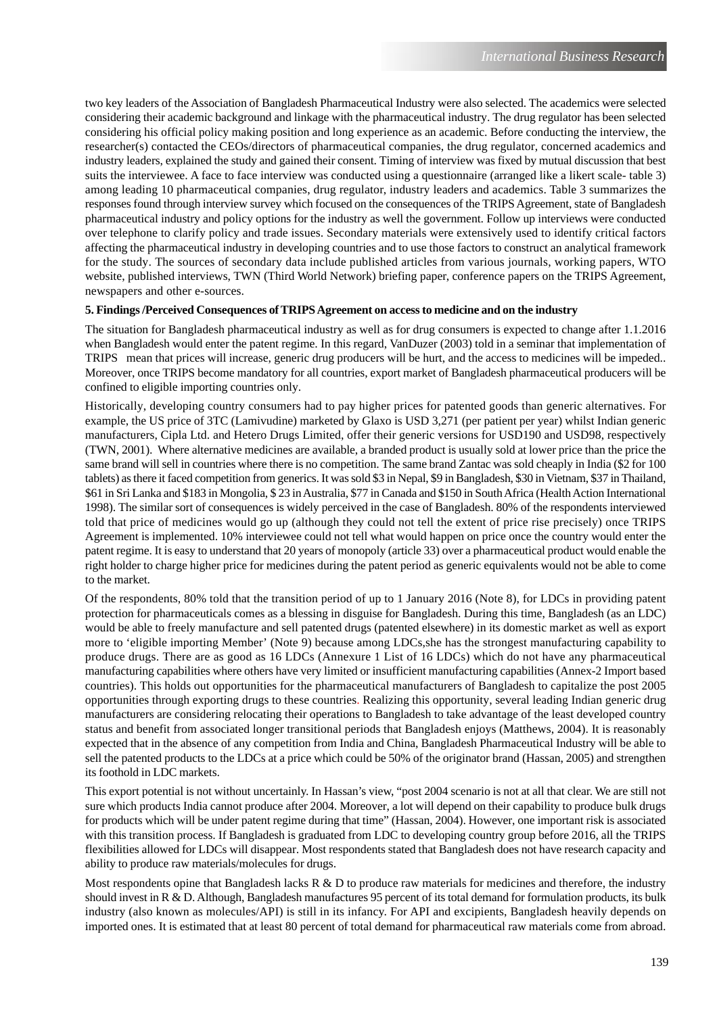two key leaders of the Association of Bangladesh Pharmaceutical Industry were also selected. The academics were selected considering their academic background and linkage with the pharmaceutical industry. The drug regulator has been selected considering his official policy making position and long experience as an academic. Before conducting the interview, the researcher(s) contacted the CEOs/directors of pharmaceutical companies, the drug regulator, concerned academics and industry leaders, explained the study and gained their consent. Timing of interview was fixed by mutual discussion that best suits the interviewee. A face to face interview was conducted using a questionnaire (arranged like a likert scale- table 3) among leading 10 pharmaceutical companies, drug regulator, industry leaders and academics. Table 3 summarizes the responses found through interview survey which focused on the consequences of the TRIPS Agreement, state of Bangladesh pharmaceutical industry and policy options for the industry as well the government. Follow up interviews were conducted over telephone to clarify policy and trade issues. Secondary materials were extensively used to identify critical factors affecting the pharmaceutical industry in developing countries and to use those factors to construct an analytical framework for the study. The sources of secondary data include published articles from various journals, working papers, WTO website, published interviews, TWN (Third World Network) briefing paper, conference papers on the TRIPS Agreement, newspapers and other e-sources.

# **5. Findings /Perceived Consequences of TRIPS Agreement on access to medicine and on the industry**

The situation for Bangladesh pharmaceutical industry as well as for drug consumers is expected to change after 1.1.2016 when Bangladesh would enter the patent regime. In this regard, VanDuzer (2003) told in a seminar that implementation of TRIPS mean that prices will increase, generic drug producers will be hurt, and the access to medicines will be impeded.. Moreover, once TRIPS become mandatory for all countries, export market of Bangladesh pharmaceutical producers will be confined to eligible importing countries only.

Historically, developing country consumers had to pay higher prices for patented goods than generic alternatives. For example, the US price of 3TC (Lamivudine) marketed by Glaxo is USD 3,271 (per patient per year) whilst Indian generic manufacturers, Cipla Ltd. and Hetero Drugs Limited, offer their generic versions for USD190 and USD98, respectively (TWN, 2001). Where alternative medicines are available, a branded product is usually sold at lower price than the price the same brand will sell in countries where there is no competition. The same brand Zantac was sold cheaply in India (\$2 for 100 tablets) as there it faced competition from generics. It was sold \$3 in Nepal, \$9 in Bangladesh, \$30 in Vietnam, \$37 in Thailand, \$61 in Sri Lanka and \$183 in Mongolia, \$ 23 in Australia, \$77 in Canada and \$150 in South Africa (Health Action International 1998). The similar sort of consequences is widely perceived in the case of Bangladesh. 80% of the respondents interviewed told that price of medicines would go up (although they could not tell the extent of price rise precisely) once TRIPS Agreement is implemented. 10% interviewee could not tell what would happen on price once the country would enter the patent regime. It is easy to understand that 20 years of monopoly (article 33) over a pharmaceutical product would enable the right holder to charge higher price for medicines during the patent period as generic equivalents would not be able to come to the market.

Of the respondents, 80% told that the transition period of up to 1 January 2016 (Note 8), for LDCs in providing patent protection for pharmaceuticals comes as a blessing in disguise for Bangladesh. During this time, Bangladesh (as an LDC) would be able to freely manufacture and sell patented drugs (patented elsewhere) in its domestic market as well as export more to 'eligible importing Member' (Note 9) because among LDCs,she has the strongest manufacturing capability to produce drugs. There are as good as 16 LDCs (Annexure 1 List of 16 LDCs) which do not have any pharmaceutical manufacturing capabilities where others have very limited or insufficient manufacturing capabilities (Annex-2 Import based countries). This holds out opportunities for the pharmaceutical manufacturers of Bangladesh to capitalize the post 2005 opportunities through exporting drugs to these countries. Realizing this opportunity, several leading Indian generic drug manufacturers are considering relocating their operations to Bangladesh to take advantage of the least developed country status and benefit from associated longer transitional periods that Bangladesh enjoys (Matthews, 2004). It is reasonably expected that in the absence of any competition from India and China, Bangladesh Pharmaceutical Industry will be able to sell the patented products to the LDCs at a price which could be 50% of the originator brand (Hassan, 2005) and strengthen its foothold in LDC markets.

This export potential is not without uncertainly. In Hassan's view, "post 2004 scenario is not at all that clear. We are still not sure which products India cannot produce after 2004. Moreover, a lot will depend on their capability to produce bulk drugs for products which will be under patent regime during that time" (Hassan, 2004). However, one important risk is associated with this transition process. If Bangladesh is graduated from LDC to developing country group before 2016, all the TRIPS flexibilities allowed for LDCs will disappear. Most respondents stated that Bangladesh does not have research capacity and ability to produce raw materials/molecules for drugs.

Most respondents opine that Bangladesh lacks R & D to produce raw materials for medicines and therefore, the industry should invest in R & D. Although, Bangladesh manufactures 95 percent of its total demand for formulation products, its bulk industry (also known as molecules/API) is still in its infancy. For API and excipients, Bangladesh heavily depends on imported ones. It is estimated that at least 80 percent of total demand for pharmaceutical raw materials come from abroad.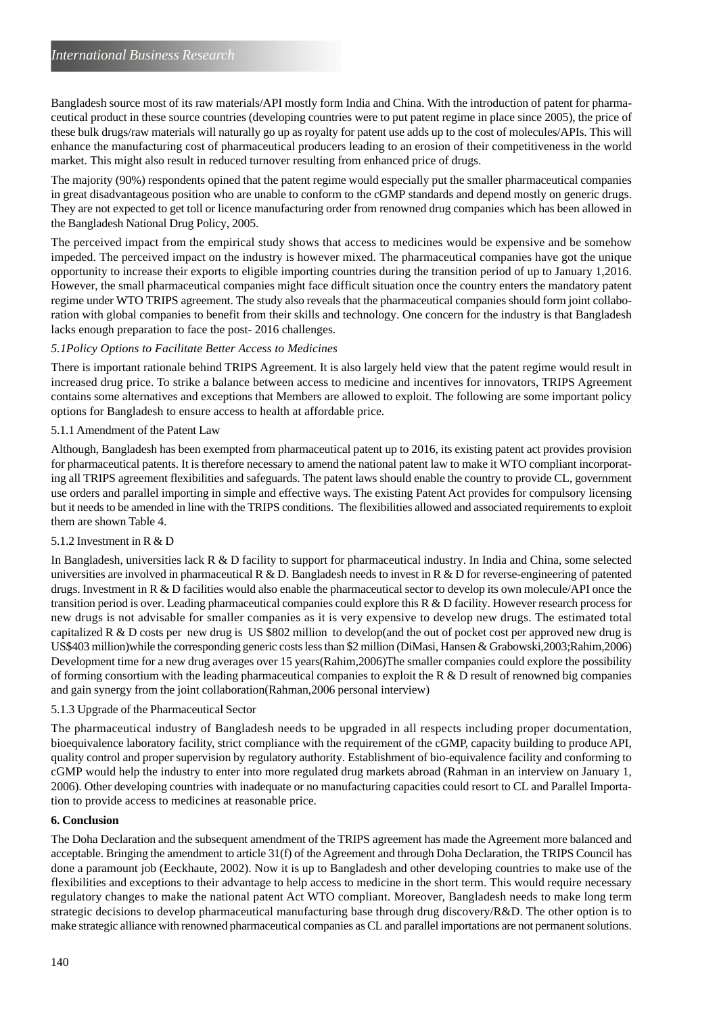Bangladesh source most of its raw materials/API mostly form India and China. With the introduction of patent for pharmaceutical product in these source countries (developing countries were to put patent regime in place since 2005), the price of these bulk drugs/raw materials will naturally go up as royalty for patent use adds up to the cost of molecules/APIs. This will enhance the manufacturing cost of pharmaceutical producers leading to an erosion of their competitiveness in the world market. This might also result in reduced turnover resulting from enhanced price of drugs.

The majority (90%) respondents opined that the patent regime would especially put the smaller pharmaceutical companies in great disadvantageous position who are unable to conform to the cGMP standards and depend mostly on generic drugs. They are not expected to get toll or licence manufacturing order from renowned drug companies which has been allowed in the Bangladesh National Drug Policy, 2005.

The perceived impact from the empirical study shows that access to medicines would be expensive and be somehow impeded. The perceived impact on the industry is however mixed. The pharmaceutical companies have got the unique opportunity to increase their exports to eligible importing countries during the transition period of up to January 1,2016. However, the small pharmaceutical companies might face difficult situation once the country enters the mandatory patent regime under WTO TRIPS agreement. The study also reveals that the pharmaceutical companies should form joint collaboration with global companies to benefit from their skills and technology. One concern for the industry is that Bangladesh lacks enough preparation to face the post- 2016 challenges.

# *5.1Policy Options to Facilitate Better Access to Medicines*

There is important rationale behind TRIPS Agreement. It is also largely held view that the patent regime would result in increased drug price. To strike a balance between access to medicine and incentives for innovators, TRIPS Agreement contains some alternatives and exceptions that Members are allowed to exploit. The following are some important policy options for Bangladesh to ensure access to health at affordable price.

# 5.1.1 Amendment of the Patent Law

Although, Bangladesh has been exempted from pharmaceutical patent up to 2016, its existing patent act provides provision for pharmaceutical patents. It is therefore necessary to amend the national patent law to make it WTO compliant incorporating all TRIPS agreement flexibilities and safeguards. The patent laws should enable the country to provide CL, government use orders and parallel importing in simple and effective ways. The existing Patent Act provides for compulsory licensing but it needs to be amended in line with the TRIPS conditions. The flexibilities allowed and associated requirements to exploit them are shown Table 4.

# 5.1.2 Investment in R & D

In Bangladesh, universities lack R & D facility to support for pharmaceutical industry. In India and China, some selected universities are involved in pharmaceutical R & D. Bangladesh needs to invest in R & D for reverse-engineering of patented drugs. Investment in R & D facilities would also enable the pharmaceutical sector to develop its own molecule/API once the transition period is over. Leading pharmaceutical companies could explore this R & D facility. However research process for new drugs is not advisable for smaller companies as it is very expensive to develop new drugs. The estimated total capitalized R & D costs per new drug is US \$802 million to develop(and the out of pocket cost per approved new drug is US\$403 million)while the corresponding generic costs less than \$2 million (DiMasi, Hansen & Grabowski,2003;Rahim,2006) Development time for a new drug averages over 15 years(Rahim,2006)The smaller companies could explore the possibility of forming consortium with the leading pharmaceutical companies to exploit the R  $\&$  D result of renowned big companies and gain synergy from the joint collaboration(Rahman,2006 personal interview)

# 5.1.3 Upgrade of the Pharmaceutical Sector

The pharmaceutical industry of Bangladesh needs to be upgraded in all respects including proper documentation, bioequivalence laboratory facility, strict compliance with the requirement of the cGMP, capacity building to produce API, quality control and proper supervision by regulatory authority. Establishment of bio-equivalence facility and conforming to cGMP would help the industry to enter into more regulated drug markets abroad (Rahman in an interview on January 1, 2006). Other developing countries with inadequate or no manufacturing capacities could resort to CL and Parallel Importation to provide access to medicines at reasonable price.

# **6. Conclusion**

The Doha Declaration and the subsequent amendment of the TRIPS agreement has made the Agreement more balanced and acceptable. Bringing the amendment to article 31(f) of the Agreement and through Doha Declaration, the TRIPS Council has done a paramount job (Eeckhaute, 2002). Now it is up to Bangladesh and other developing countries to make use of the flexibilities and exceptions to their advantage to help access to medicine in the short term. This would require necessary regulatory changes to make the national patent Act WTO compliant. Moreover, Bangladesh needs to make long term strategic decisions to develop pharmaceutical manufacturing base through drug discovery/R&D. The other option is to make strategic alliance with renowned pharmaceutical companies as CL and parallel importations are not permanent solutions.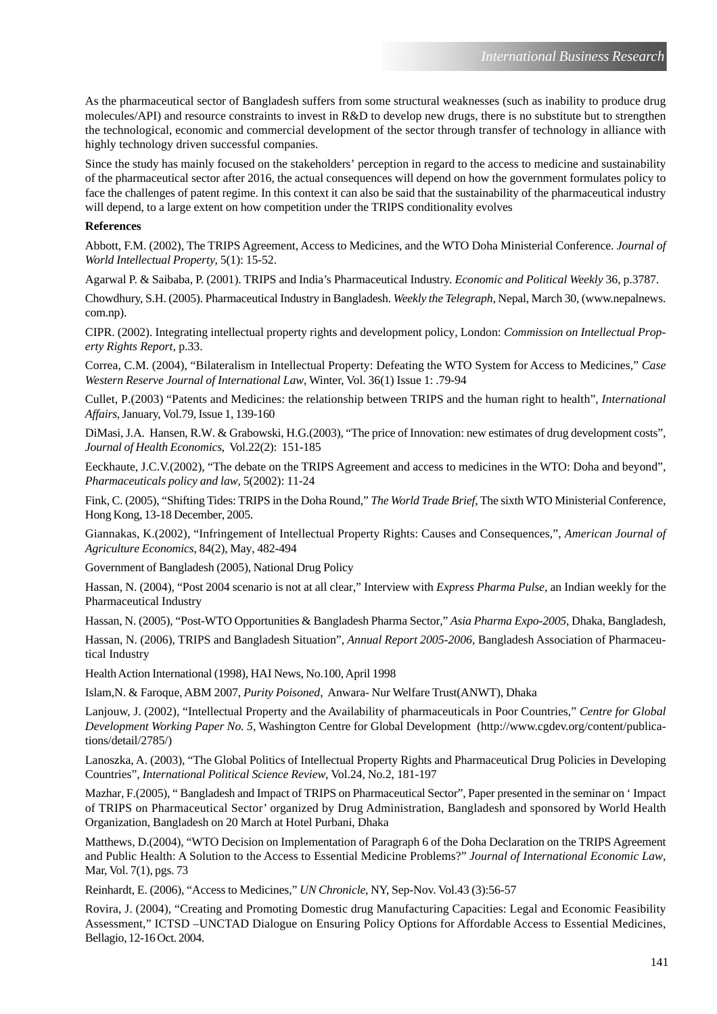As the pharmaceutical sector of Bangladesh suffers from some structural weaknesses (such as inability to produce drug molecules/API) and resource constraints to invest in R&D to develop new drugs, there is no substitute but to strengthen the technological, economic and commercial development of the sector through transfer of technology in alliance with highly technology driven successful companies.

Since the study has mainly focused on the stakeholders' perception in regard to the access to medicine and sustainability of the pharmaceutical sector after 2016, the actual consequences will depend on how the government formulates policy to face the challenges of patent regime. In this context it can also be said that the sustainability of the pharmaceutical industry will depend, to a large extent on how competition under the TRIPS conditionality evolves

#### **References**

Abbott, F.M. (2002), The TRIPS Agreement, Access to Medicines, and the WTO Doha Ministerial Conference. *Journal of World Intellectual Property*, 5(1): 15-52.

Agarwal P. & Saibaba, P. (2001). TRIPS and India's Pharmaceutical Industry. *Economic and Political Weekly* 36, p.3787.

Chowdhury, S.H. (2005). Pharmaceutical Industry in Bangladesh. *Weekly the Telegraph*, Nepal, March 30, (www.nepalnews. com.np).

CIPR. (2002). Integrating intellectual property rights and development policy, London: *Commission on Intellectual Property Rights Report,* p.33.

Correa, C.M. (2004), "Bilateralism in Intellectual Property: Defeating the WTO System for Access to Medicines," *Case Western Reserve Journal of International Law*, Winter, Vol. 36(1) Issue 1: .79-94

Cullet, P.(2003) "Patents and Medicines: the relationship between TRIPS and the human right to health", *International Affairs*, January, Vol.79, Issue 1, 139-160

DiMasi, J.A. Hansen, R.W. & Grabowski, H.G.(2003), "The price of Innovation: new estimates of drug development costs", *Journal of Health Economics*, Vol.22(2): 151-185

Eeckhaute, J.C.V.(2002), "The debate on the TRIPS Agreement and access to medicines in the WTO: Doha and beyond", *Pharmaceuticals policy and law*, 5(2002): 11-24

Fink, C. (2005), "Shifting Tides: TRIPS in the Doha Round," *The World Trade Brief*, The sixth WTO Ministerial Conference, Hong Kong, 13-18 December, 2005.

Giannakas, K.(2002), "Infringement of Intellectual Property Rights: Causes and Consequences,", *American Journal of Agriculture Economics*, 84(2), May, 482-494

Government of Bangladesh (2005), National Drug Policy

Hassan, N. (2004), "Post 2004 scenario is not at all clear," Interview with *Express Pharma Pulse*, an Indian weekly for the Pharmaceutical Industry

Hassan, N. (2005), "Post-WTO Opportunities & Bangladesh Pharma Sector," *Asia Pharma Expo-2005*, Dhaka, Bangladesh,

Hassan, N. (2006), TRIPS and Bangladesh Situation", *Annual Report 2005-2006,* Bangladesh Association of Pharmaceutical Industry

Health Action International (1998), HAI News, No.100, April 1998

Islam,N. & Faroque, ABM 2007, *Purity Poisoned*, Anwara- Nur Welfare Trust(ANWT), Dhaka

Lanjouw, J. (2002), "Intellectual Property and the Availability of pharmaceuticals in Poor Countries," *Centre for Global Development Working Paper No. 5*, Washington Centre for Global Development (http://www.cgdev.org/content/publications/detail/2785/)

Lanoszka, A. (2003), "The Global Politics of Intellectual Property Rights and Pharmaceutical Drug Policies in Developing Countries", *International Political Science Review*, Vol.24, No.2, 181-197

Mazhar, F.(2005), " Bangladesh and Impact of TRIPS on Pharmaceutical Sector", Paper presented in the seminar on ' Impact of TRIPS on Pharmaceutical Sector' organized by Drug Administration, Bangladesh and sponsored by World Health Organization, Bangladesh on 20 March at Hotel Purbani, Dhaka

Matthews, D.(2004), "WTO Decision on Implementation of Paragraph 6 of the Doha Declaration on the TRIPS Agreement and Public Health: A Solution to the Access to Essential Medicine Problems?" *Journal of International Economic Law*, Mar, Vol. 7(1), pgs. 73

Reinhardt, E. (2006), "Access to Medicines," *UN Chronicle*, NY, Sep-Nov. Vol.43 (3):56-57

Rovira, J. (2004), "Creating and Promoting Domestic drug Manufacturing Capacities: Legal and Economic Feasibility Assessment," ICTSD –UNCTAD Dialogue on Ensuring Policy Options for Affordable Access to Essential Medicines, Bellagio, 12-16 Oct. 2004.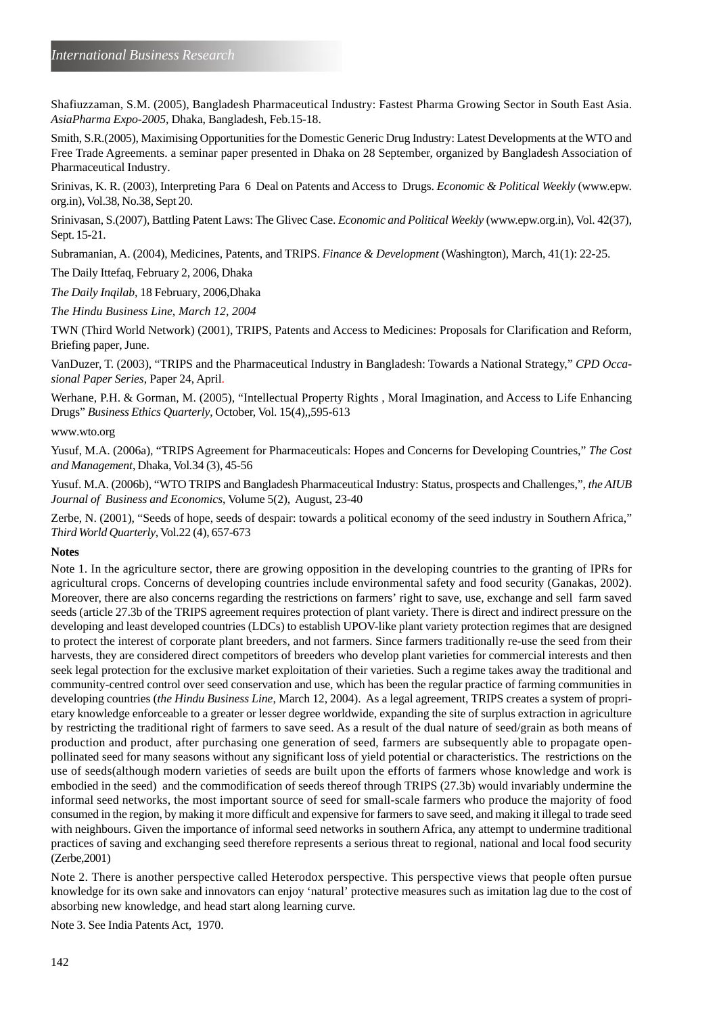Shafiuzzaman, S.M. (2005), Bangladesh Pharmaceutical Industry: Fastest Pharma Growing Sector in South East Asia. *AsiaPharma Expo-2005*, Dhaka, Bangladesh, Feb.15-18.

Smith, S.R.(2005), Maximising Opportunities for the Domestic Generic Drug Industry: Latest Developments at the WTO and Free Trade Agreements. a seminar paper presented in Dhaka on 28 September, organized by Bangladesh Association of Pharmaceutical Industry.

Srinivas, K. R. (2003), Interpreting Para 6 Deal on Patents and Access to Drugs. *Economic & Political Weekly* (www.epw. org.in), Vol.38, No.38, Sept 20.

Srinivasan, S.(2007), Battling Patent Laws: The Glivec Case. *Economic and Political Weekly* (www.epw.org.in), Vol. 42(37), Sept. 15-21.

Subramanian, A. (2004), Medicines, Patents, and TRIPS. *Finance & Development* (Washington), March, 41(1): 22-25.

The Daily Ittefaq, February 2, 2006, Dhaka

*The Daily Inqilab*, 18 February, 2006,Dhaka

*The Hindu Business Line, March 12, 2004*

TWN (Third World Network) (2001), TRIPS, Patents and Access to Medicines: Proposals for Clarification and Reform, Briefing paper, June.

VanDuzer, T. (2003), "TRIPS and the Pharmaceutical Industry in Bangladesh: Towards a National Strategy," *CPD Occasional Paper Series*, Paper 24, April.

Werhane, P.H. & Gorman, M. (2005), "Intellectual Property Rights , Moral Imagination, and Access to Life Enhancing Drugs" *Business Ethics Quarterly*, October, Vol. 15(4),,595-613

#### www.wto.org

Yusuf, M.A. (2006a), "TRIPS Agreement for Pharmaceuticals: Hopes and Concerns for Developing Countries," *The Cost and Management*, Dhaka, Vol.34 (3), 45-56

Yusuf. M.A. (2006b), "WTO TRIPS and Bangladesh Pharmaceutical Industry: Status, prospects and Challenges,", *the AIUB Journal of Business and Economics*, Volume 5(2), August, 23-40

Zerbe, N. (2001), "Seeds of hope, seeds of despair: towards a political economy of the seed industry in Southern Africa," *Third World Quarterly*, Vol.22 (4), 657-673

#### **Notes**

Note 1. In the agriculture sector, there are growing opposition in the developing countries to the granting of IPRs for agricultural crops. Concerns of developing countries include environmental safety and food security (Ganakas, 2002). Moreover, there are also concerns regarding the restrictions on farmers' right to save, use, exchange and sell farm saved seeds (article 27.3b of the TRIPS agreement requires protection of plant variety. There is direct and indirect pressure on the developing and least developed countries (LDCs) to establish UPOV-like plant variety protection regimes that are designed to protect the interest of corporate plant breeders, and not farmers. Since farmers traditionally re-use the seed from their harvests, they are considered direct competitors of breeders who develop plant varieties for commercial interests and then seek legal protection for the exclusive market exploitation of their varieties. Such a regime takes away the traditional and community-centred control over seed conservation and use, which has been the regular practice of farming communities in developing countries (*the Hindu Business Line*, March 12, 2004). As a legal agreement, TRIPS creates a system of proprietary knowledge enforceable to a greater or lesser degree worldwide, expanding the site of surplus extraction in agriculture by restricting the traditional right of farmers to save seed. As a result of the dual nature of seed/grain as both means of production and product, after purchasing one generation of seed, farmers are subsequently able to propagate openpollinated seed for many seasons without any significant loss of yield potential or characteristics. The restrictions on the use of seeds(although modern varieties of seeds are built upon the efforts of farmers whose knowledge and work is embodied in the seed) and the commodification of seeds thereof through TRIPS (27.3b) would invariably undermine the informal seed networks, the most important source of seed for small-scale farmers who produce the majority of food consumed in the region, by making it more difficult and expensive for farmers to save seed, and making it illegal to trade seed with neighbours. Given the importance of informal seed networks in southern Africa, any attempt to undermine traditional practices of saving and exchanging seed therefore represents a serious threat to regional, national and local food security (Zerbe,2001)

Note 2. There is another perspective called Heterodox perspective. This perspective views that people often pursue knowledge for its own sake and innovators can enjoy 'natural' protective measures such as imitation lag due to the cost of absorbing new knowledge, and head start along learning curve.

Note 3. See India Patents Act, 1970.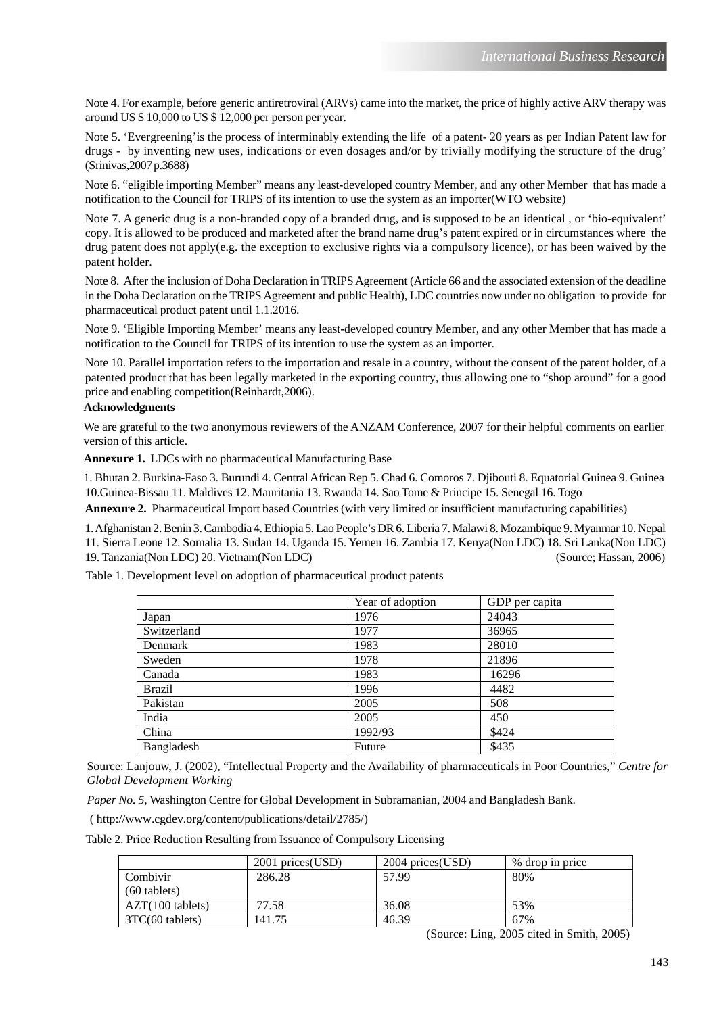Note 4. For example, before generic antiretroviral (ARVs) came into the market, the price of highly active ARV therapy was around US \$ 10,000 to US \$ 12,000 per person per year.

Note 5. 'Evergreening'is the process of interminably extending the life of a patent- 20 years as per Indian Patent law for drugs - by inventing new uses, indications or even dosages and/or by trivially modifying the structure of the drug' (Srinivas,2007 p.3688)

Note 6. "eligible importing Member" means any least-developed country Member, and any other Member that has made a notification to the Council for TRIPS of its intention to use the system as an importer(WTO website)

Note 7. A generic drug is a non-branded copy of a branded drug, and is supposed to be an identical, or 'bio-equivalent' copy. It is allowed to be produced and marketed after the brand name drug's patent expired or in circumstances where the drug patent does not apply(e.g. the exception to exclusive rights via a compulsory licence), or has been waived by the patent holder.

Note 8. After the inclusion of Doha Declaration in TRIPS Agreement (Article 66 and the associated extension of the deadline in the Doha Declaration on the TRIPS Agreement and public Health), LDC countries now under no obligation to provide for pharmaceutical product patent until 1.1.2016.

Note 9. 'Eligible Importing Member' means any least-developed country Member, and any other Member that has made a notification to the Council for TRIPS of its intention to use the system as an importer.

Note 10. Parallel importation refers to the importation and resale in a country, without the consent of the patent holder, of a patented product that has been legally marketed in the exporting country, thus allowing one to "shop around" for a good price and enabling competition(Reinhardt,2006).

#### **Acknowledgments**

We are grateful to the two anonymous reviewers of the ANZAM Conference, 2007 for their helpful comments on earlier version of this article.

**Annexure 1.** LDCs with no pharmaceutical Manufacturing Base

1. Bhutan 2. Burkina-Faso 3. Burundi 4. Central African Rep 5. Chad 6. Comoros 7. Djibouti 8. Equatorial Guinea 9. Guinea 10.Guinea-Bissau 11. Maldives 12. Mauritania 13. Rwanda 14. Sao Tome & Principe 15. Senegal 16. Togo

**Annexure 2.** Pharmaceutical Import based Countries (with very limited or insufficient manufacturing capabilities)

1. Afghanistan 2. Benin 3. Cambodia 4. Ethiopia 5. Lao People's DR 6. Liberia 7. Malawi 8. Mozambique 9. Myanmar 10. Nepal 11. Sierra Leone 12. Somalia 13. Sudan 14. Uganda 15. Yemen 16. Zambia 17. Kenya(Non LDC) 18. Sri Lanka(Non LDC) 19. Tanzania(Non LDC) 20. Vietnam(Non LDC) (Source; Hassan, 2006)

Table 1. Development level on adoption of pharmaceutical product patents

|               | Year of adoption | GDP per capita |
|---------------|------------------|----------------|
| Japan         | 1976             | 24043          |
| Switzerland   | 1977             | 36965          |
| Denmark       | 1983             | 28010          |
| Sweden        | 1978             | 21896          |
| Canada        | 1983             | 16296          |
| <b>Brazil</b> | 1996             | 4482           |
| Pakistan      | 2005             | 508            |
| India         | 2005             | 450            |
| China         | 1992/93          | \$424          |
| Bangladesh    | Future           | \$435          |

Source: Lanjouw, J. (2002), "Intellectual Property and the Availability of pharmaceuticals in Poor Countries," *Centre for Global Development Working*

*Paper No. 5*, Washington Centre for Global Development in Subramanian, 2004 and Bangladesh Bank.

( http://www.cgdev.org/content/publications/detail/2785/)

Table 2. Price Reduction Resulting from Issuance of Compulsory Licensing

|                    | 2001 prices(USD) | 2004 prices(USD) | % drop in price |
|--------------------|------------------|------------------|-----------------|
| Combivir           | 286.28           | 57.99            | 80%             |
| $(60$ tablets)     |                  |                  |                 |
| $AZT(100$ tablets) | 77.58            | 36.08            | 53%             |
| 3TC(60 tablets)    | 141.75           | 46.39            | 67%             |

(Source: Ling, 2005 cited in Smith, 2005)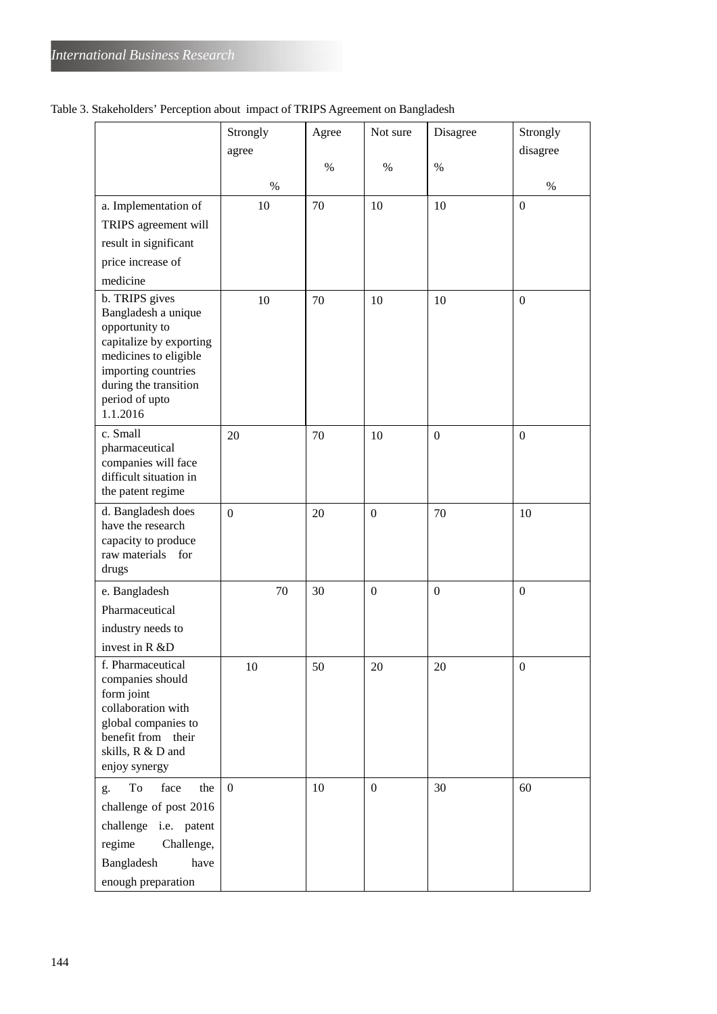|  |  | Table 3. Stakeholders' Perception about impact of TRIPS Agreement on Bangladesh |
|--|--|---------------------------------------------------------------------------------|

|                                                                                                                                                                                           | Strongly         | Agree | Not sure         | Disagree         | Strongly         |
|-------------------------------------------------------------------------------------------------------------------------------------------------------------------------------------------|------------------|-------|------------------|------------------|------------------|
|                                                                                                                                                                                           | agree            |       |                  |                  | disagree         |
|                                                                                                                                                                                           |                  | $\%$  | $\%$             | $\%$             |                  |
|                                                                                                                                                                                           | %                |       |                  |                  | $\%$             |
| a. Implementation of                                                                                                                                                                      | 10               | 70    | 10               | 10               | $\boldsymbol{0}$ |
| TRIPS agreement will                                                                                                                                                                      |                  |       |                  |                  |                  |
| result in significant                                                                                                                                                                     |                  |       |                  |                  |                  |
| price increase of                                                                                                                                                                         |                  |       |                  |                  |                  |
| medicine                                                                                                                                                                                  |                  |       |                  |                  |                  |
| b. TRIPS gives<br>Bangladesh a unique<br>opportunity to<br>capitalize by exporting<br>medicines to eligible<br>importing countries<br>during the transition<br>period of upto<br>1.1.2016 | 10               | 70    | 10               | 10               | $\boldsymbol{0}$ |
| c. Small<br>pharmaceutical<br>companies will face<br>difficult situation in<br>the patent regime                                                                                          | 20               | 70    | 10               | $\boldsymbol{0}$ | $\boldsymbol{0}$ |
| d. Bangladesh does<br>have the research<br>capacity to produce<br>raw materials<br>for<br>drugs                                                                                           | $\mathbf{0}$     | 20    | $\boldsymbol{0}$ | 70               | 10               |
| e. Bangladesh                                                                                                                                                                             | 70               | 30    | $\boldsymbol{0}$ | $\boldsymbol{0}$ | $\boldsymbol{0}$ |
| Pharmaceutical                                                                                                                                                                            |                  |       |                  |                  |                  |
| industry needs to                                                                                                                                                                         |                  |       |                  |                  |                  |
| invest in R &D                                                                                                                                                                            |                  |       |                  |                  |                  |
| f. Pharmaceutical<br>companies should<br>form joint<br>collaboration with<br>global companies to<br>benefit from their<br>skills, R & D and<br>enjoy synergy                              | 10               | 50    | 20               | 20               | $\boldsymbol{0}$ |
| To<br>face<br>the<br>g.<br>challenge of post 2016<br>challenge i.e. patent<br>regime<br>Challenge,<br>Bangladesh<br>have<br>enough preparation                                            | $\boldsymbol{0}$ | 10    | $\mathbf{0}$     | 30               | 60               |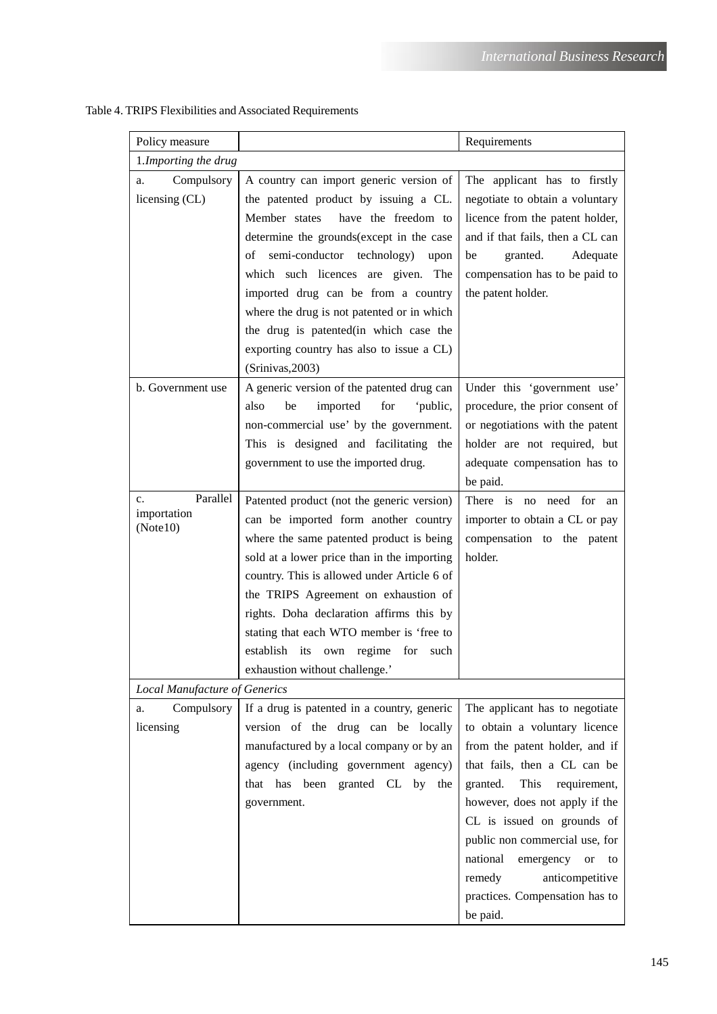| Policy measure                            |                                                                                                                                                                                                                                                                                                                                                                                                                                                        | Requirements                                                                                                                                                                                                                                                                                                                                                                            |
|-------------------------------------------|--------------------------------------------------------------------------------------------------------------------------------------------------------------------------------------------------------------------------------------------------------------------------------------------------------------------------------------------------------------------------------------------------------------------------------------------------------|-----------------------------------------------------------------------------------------------------------------------------------------------------------------------------------------------------------------------------------------------------------------------------------------------------------------------------------------------------------------------------------------|
| 1. Importing the drug                     |                                                                                                                                                                                                                                                                                                                                                                                                                                                        |                                                                                                                                                                                                                                                                                                                                                                                         |
| Compulsory<br>a.<br>licensing (CL)        | A country can import generic version of<br>the patented product by issuing a CL.<br>Member states<br>have the freedom to<br>determine the grounds(except in the case<br>semi-conductor technology)<br>of<br>upon<br>which such licences are given. The<br>imported drug can be from a country<br>where the drug is not patented or in which<br>the drug is patented(in which case the<br>exporting country has also to issue a CL)<br>(Srinivas, 2003) | The applicant has to firstly<br>negotiate to obtain a voluntary<br>licence from the patent holder,<br>and if that fails, then a CL can<br>Adequate<br>be<br>granted.<br>compensation has to be paid to<br>the patent holder.                                                                                                                                                            |
| b. Government use                         | A generic version of the patented drug can<br>also<br>be<br>imported<br>for<br>'public,<br>non-commercial use' by the government.<br>This is designed and facilitating the<br>government to use the imported drug.                                                                                                                                                                                                                                     | Under this 'government use'<br>procedure, the prior consent of<br>or negotiations with the patent<br>holder are not required, but<br>adequate compensation has to<br>be paid.                                                                                                                                                                                                           |
| Parallel<br>c.<br>importation<br>(Note10) | Patented product (not the generic version)<br>can be imported form another country<br>where the same patented product is being<br>sold at a lower price than in the importing<br>country. This is allowed under Article 6 of<br>the TRIPS Agreement on exhaustion of<br>rights. Doha declaration affirms this by<br>stating that each WTO member is 'free to<br>establish its own regime<br>for<br>such<br>exhaustion without challenge.'              | There is no need for an<br>importer to obtain a CL or pay<br>compensation to the patent<br>holder.                                                                                                                                                                                                                                                                                      |
| <b>Local Manufacture of Generics</b>      |                                                                                                                                                                                                                                                                                                                                                                                                                                                        |                                                                                                                                                                                                                                                                                                                                                                                         |
| Compulsory<br>a.<br>licensing             | If a drug is patented in a country, generic<br>version of the drug can be locally<br>manufactured by a local company or by an<br>agency (including government agency)<br>that has been granted CL by the<br>government.                                                                                                                                                                                                                                | The applicant has to negotiate<br>to obtain a voluntary licence<br>from the patent holder, and if<br>that fails, then a CL can be<br>granted.<br>This<br>requirement,<br>however, does not apply if the<br>CL is issued on grounds of<br>public non commercial use, for<br>national<br>emergency<br>or<br>to<br>anticompetitive<br>remedy<br>practices. Compensation has to<br>be paid. |

Table 4. TRIPS Flexibilities and Associated Requirements